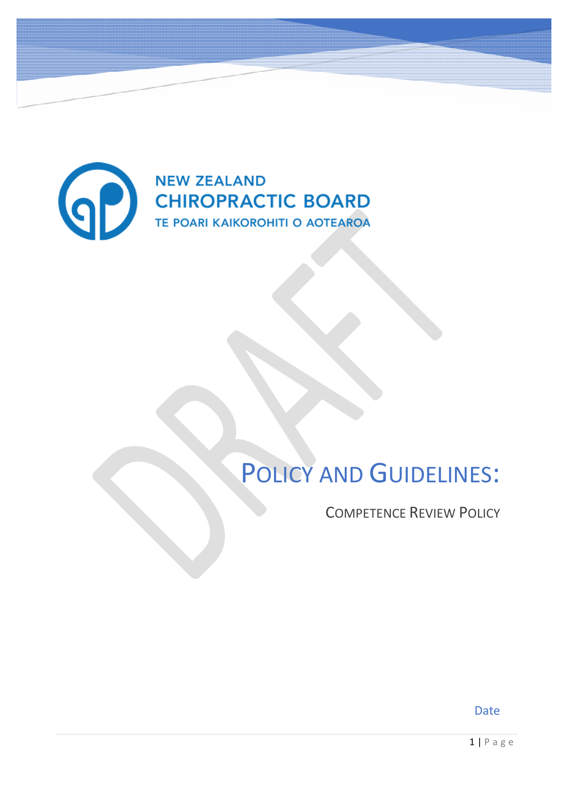

# POLICY AND GUIDELINES:

COMPETENCE REVIEW POLICY

Date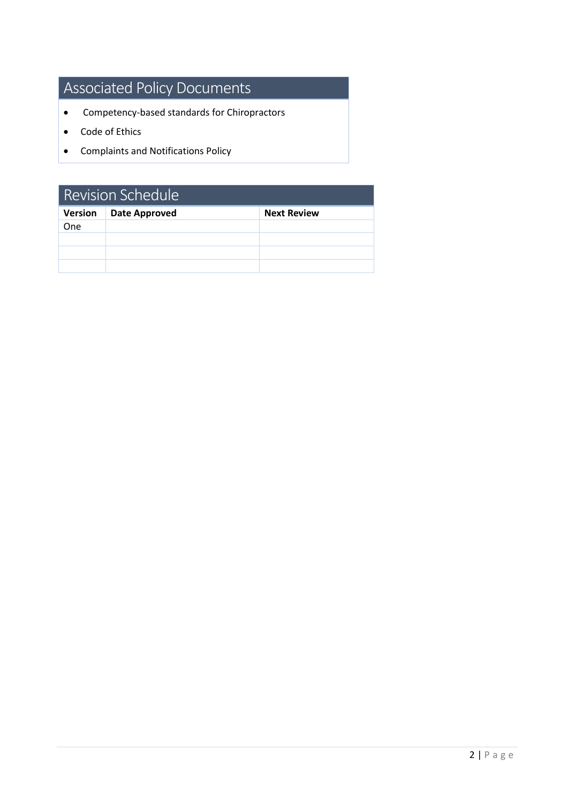# Associated Policy Documents

- Competency-based standards for Chiropractors
- Code of Ethics
- Complaints and Notifications Policy

| Revision Schedule |                      |                    |  |  |
|-------------------|----------------------|--------------------|--|--|
| Version           | <b>Date Approved</b> | <b>Next Review</b> |  |  |
| One.              |                      |                    |  |  |
|                   |                      |                    |  |  |
|                   |                      |                    |  |  |
|                   |                      |                    |  |  |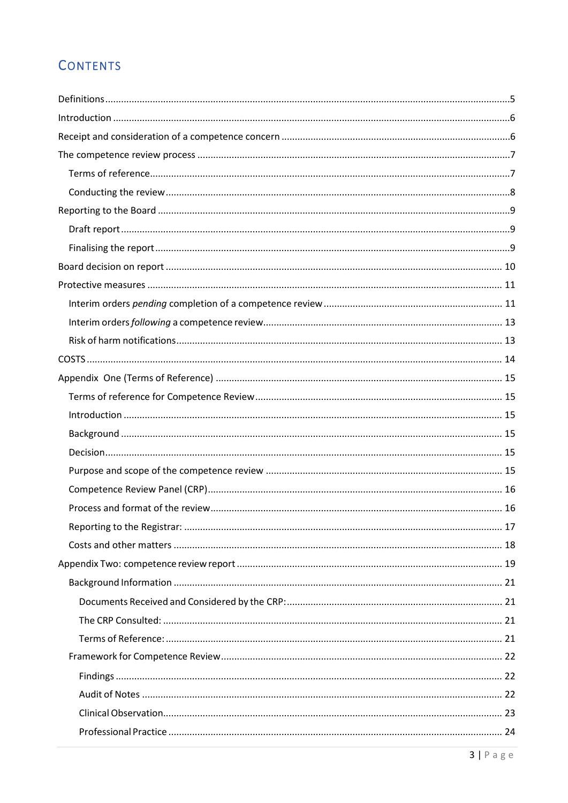# **CONTENTS**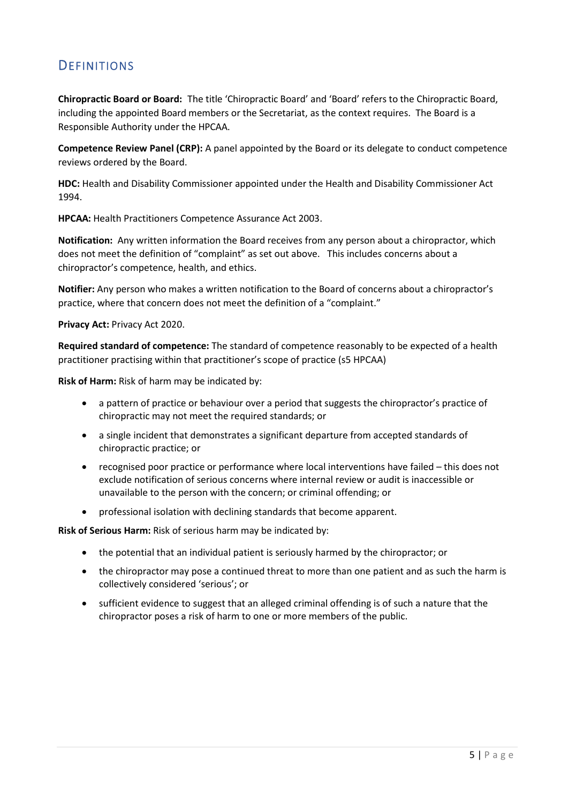# <span id="page-4-0"></span>**DEFINITIONS**

**Chiropractic Board or Board:** The title 'Chiropractic Board' and 'Board' refers to the Chiropractic Board, including the appointed Board members or the Secretariat, as the context requires. The Board is a Responsible Authority under the HPCAA.

**Competence Review Panel (CRP):** A panel appointed by the Board or its delegate to conduct competence reviews ordered by the Board.

**HDC:** Health and Disability Commissioner appointed under the Health and Disability Commissioner Act 1994.

**HPCAA:** Health Practitioners Competence Assurance Act 2003.

**Notification:** Any written information the Board receives from any person about a chiropractor, which does not meet the definition of "complaint" as set out above. This includes concerns about a chiropractor's competence, health, and ethics.

**Notifier:** Any person who makes a written notification to the Board of concerns about a chiropractor's practice, where that concern does not meet the definition of a "complaint."

#### **Privacy Act:** Privacy Act 2020.

**Required standard of competence:** The standard of competence reasonably to be expected of a health practitioner practising within that practitioner's scope of practice (s5 HPCAA)

**Risk of Harm:** Risk of harm may be indicated by:

- a pattern of practice or behaviour over a period that suggests the chiropractor's practice of chiropractic may not meet the required standards; or
- a single incident that demonstrates a significant departure from accepted standards of chiropractic practice; or
- recognised poor practice or performance where local interventions have failed this does not exclude notification of serious concerns where internal review or audit is inaccessible or unavailable to the person with the concern; or criminal offending; or
- professional isolation with declining standards that become apparent.

**Risk of Serious Harm:** Risk of serious harm may be indicated by:

- the potential that an individual patient is seriously harmed by the chiropractor; or
- the chiropractor may pose a continued threat to more than one patient and as such the harm is collectively considered 'serious'; or
- sufficient evidence to suggest that an alleged criminal offending is of such a nature that the chiropractor poses a risk of harm to one or more members of the public.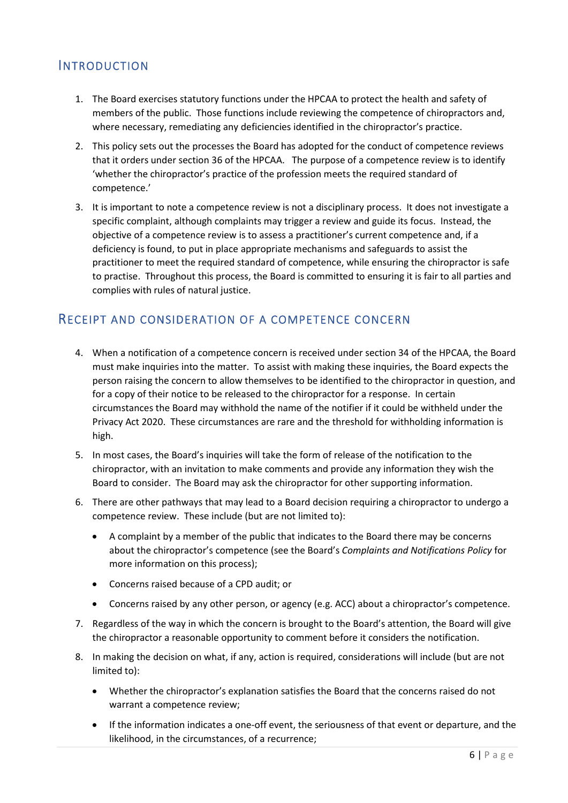# <span id="page-5-0"></span>INTRODUCTION

- 1. The Board exercises statutory functions under the HPCAA to protect the health and safety of members of the public. Those functions include reviewing the competence of chiropractors and, where necessary, remediating any deficiencies identified in the chiropractor's practice.
- 2. This policy sets out the processes the Board has adopted for the conduct of competence reviews that it orders under section 36 of the HPCAA. The purpose of a competence review is to identify 'whether the chiropractor's practice of the profession meets the required standard of competence.'
- 3. It is important to note a competence review is not a disciplinary process. It does not investigate a specific complaint, although complaints may trigger a review and guide its focus. Instead, the objective of a competence review is to assess a practitioner's current competence and, if a deficiency is found, to put in place appropriate mechanisms and safeguards to assist the practitioner to meet the required standard of competence, while ensuring the chiropractor is safe to practise. Throughout this process, the Board is committed to ensuring it is fair to all parties and complies with rules of natural justice.

# <span id="page-5-1"></span>RECEIPT AND CONSIDERATION OF A COMPETENCE CONCERN

- 4. When a notification of a competence concern is received under section 34 of the HPCAA, the Board must make inquiries into the matter. To assist with making these inquiries, the Board expects the person raising the concern to allow themselves to be identified to the chiropractor in question, and for a copy of their notice to be released to the chiropractor for a response. In certain circumstances the Board may withhold the name of the notifier if it could be withheld under the Privacy Act 2020. These circumstances are rare and the threshold for withholding information is high.
- 5. In most cases, the Board's inquiries will take the form of release of the notification to the chiropractor, with an invitation to make comments and provide any information they wish the Board to consider. The Board may ask the chiropractor for other supporting information.
- 6. There are other pathways that may lead to a Board decision requiring a chiropractor to undergo a competence review. These include (but are not limited to):
	- A complaint by a member of the public that indicates to the Board there may be concerns about the chiropractor's competence (see the Board's *Complaints and Notifications Policy* for more information on this process);
	- Concerns raised because of a CPD audit; or
	- Concerns raised by any other person, or agency (e.g. ACC) about a chiropractor's competence.
- 7. Regardless of the way in which the concern is brought to the Board's attention, the Board will give the chiropractor a reasonable opportunity to comment before it considers the notification.
- 8. In making the decision on what, if any, action is required, considerations will include (but are not limited to):
	- Whether the chiropractor's explanation satisfies the Board that the concerns raised do not warrant a competence review;
	- If the information indicates a one-off event, the seriousness of that event or departure, and the likelihood, in the circumstances, of a recurrence;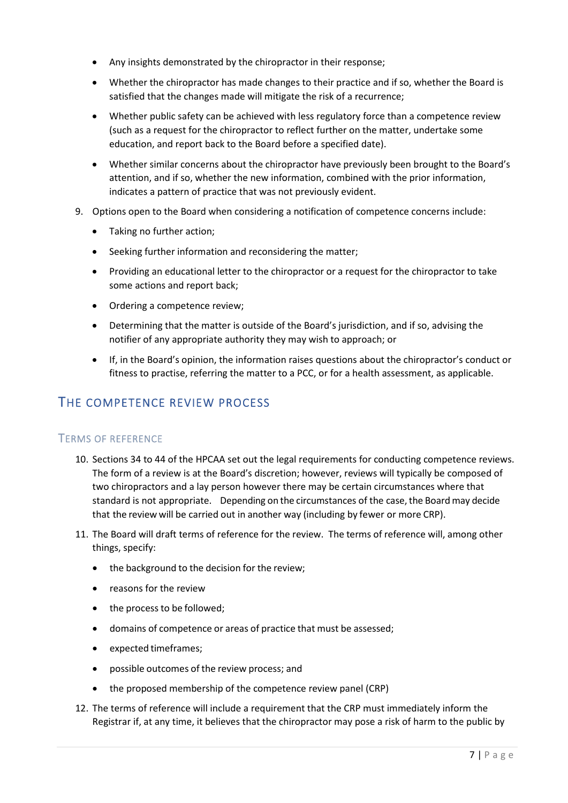- Any insights demonstrated by the chiropractor in their response;
- Whether the chiropractor has made changes to their practice and if so, whether the Board is satisfied that the changes made will mitigate the risk of a recurrence;
- Whether public safety can be achieved with less regulatory force than a competence review (such as a request for the chiropractor to reflect further on the matter, undertake some education, and report back to the Board before a specified date).
- Whether similar concerns about the chiropractor have previously been brought to the Board's attention, and if so, whether the new information, combined with the prior information, indicates a pattern of practice that was not previously evident.
- 9. Options open to the Board when considering a notification of competence concerns include:
	- Taking no further action;
	- Seeking further information and reconsidering the matter;
	- Providing an educational letter to the chiropractor or a request for the chiropractor to take some actions and report back;
	- Ordering a competence review;
	- Determining that the matter is outside of the Board's jurisdiction, and if so, advising the notifier of any appropriate authority they may wish to approach; or
	- If, in the Board's opinion, the information raises questions about the chiropractor's conduct or fitness to practise, referring the matter to a PCC, or for a health assessment, as applicable.

# <span id="page-6-0"></span>THE COMPETENCE REVIEW PROCESS

# <span id="page-6-1"></span>TERMS OF REFERENCE

- 10. Sections 34 to 44 of the HPCAA set out the legal requirements for conducting competence reviews. The form of a review is at the Board's discretion; however, reviews will typically be composed of two chiropractors and a lay person however there may be certain circumstances where that standard is not appropriate. Depending on the circumstances of the case, the Board may decide that the review will be carried out in another way (including by fewer or more CRP).
- 11. The Board will draft terms of reference for the review. The terms of reference will, among other things, specify:
	- the background to the decision for the review;
	- reasons for the review
	- the process to be followed:
	- domains of competence or areas of practice that must be assessed;
	- expected timeframes;
	- possible outcomes of the review process; and
	- the proposed membership of the competence review panel (CRP)
- 12. The terms of reference will include a requirement that the CRP must immediately inform the Registrar if, at any time, it believes that the chiropractor may pose a risk of harm to the public by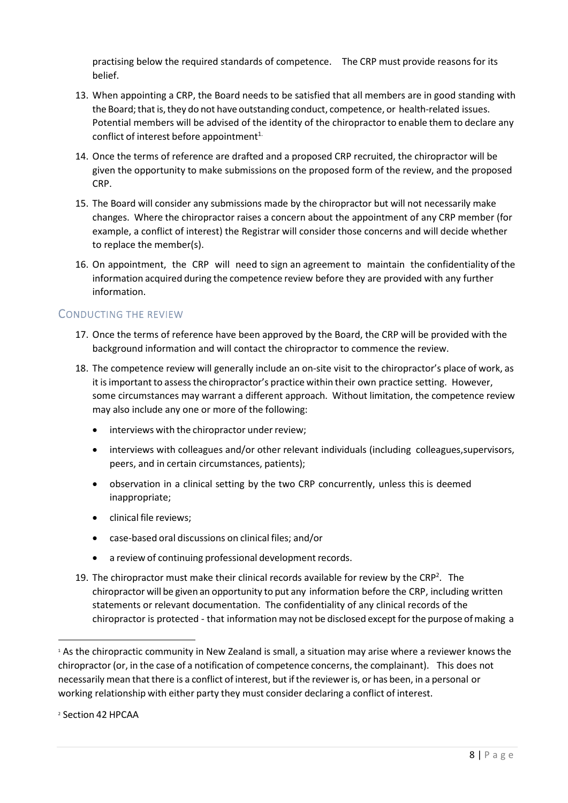practising below the required standards of competence. The CRP must provide reasons for its belief.

- 13. When appointing a CRP, the Board needs to be satisfied that all members are in good standing with the Board; that is, they do not have outstanding conduct, competence, or health-related issues. Potential members will be advised of the identity of the chiropractor to enable them to declare any conflict of interest before appointment $1$ .
- 14. Once the terms of reference are drafted and a proposed CRP recruited, the chiropractor will be given the opportunity to make submissions on the proposed form of the review, and the proposed CRP.
- 15. The Board will consider any submissions made by the chiropractor but will not necessarily make changes. Where the chiropractor raises a concern about the appointment of any CRP member (for example, a conflict of interest) the Registrar will consider those concerns and will decide whether to replace the member(s).
- 16. On appointment, the CRP will need to sign an agreement to maintain the confidentiality of the information acquired during the competence review before they are provided with any further information.

# <span id="page-7-0"></span>CONDUCTING THE REVIEW

- 17. Once the terms of reference have been approved by the Board, the CRP will be provided with the background information and will contact the chiropractor to commence the review.
- 18. The competence review will generally include an on-site visit to the chiropractor's place of work, as it is important to assess the chiropractor's practice within their own practice setting. However, some circumstances may warrant a different approach. Without limitation, the competence review may also include any one or more of the following:
	- **•** interviews with the chiropractor under review;
	- interviews with colleagues and/or other relevant individuals (including colleagues, supervisors, peers, and in certain circumstances, patients);
	- observation in a clinical setting by the two CRP concurrently, unless this is deemed inappropriate;
	- clinical file reviews;
	- case-based oral discussions on clinical files; and/or
	- a review of continuing professional development records.
- 19. The chiropractor must make their clinical records available for review by the CRP<sup>2</sup>. The chiropractor will be given an opportunity to put any information before the CRP, including written statements or relevant documentation. The confidentiality of any clinical records of the chiropractor is protected - that information may not be disclosed except for the purpose of making a

<sup>&</sup>lt;sup>1</sup> As the chiropractic community in New Zealand is small, a situation may arise where a reviewer knows the chiropractor (or, in the case of a notification of competence concerns, the complainant). This does not necessarily mean that there is a conflict of interest, but if the reviewer is, or has been, in a personal or working relationship with either party they must consider declaring a conflict of interest.

<sup>2</sup> Section 42 HPCAA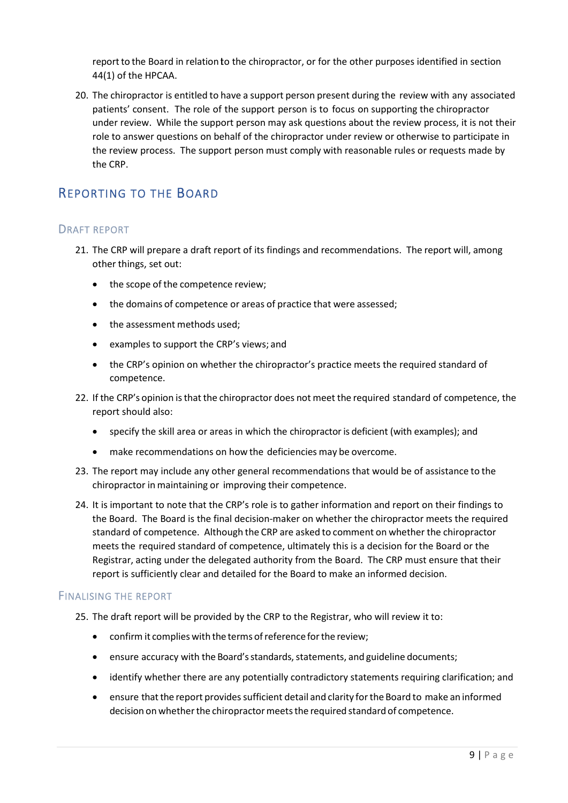report to the Board in relation to the chiropractor, or for the other purposes identified in section 44(1) of the HPCAA.

20. The chiropractor is entitled to have a support person present during the review with any associated patients' consent. The role of the support person is to focus on supporting the chiropractor under review. While the support person may ask questions about the review process, it is not their role to answer questions on behalf of the chiropractor under review or otherwise to participate in the review process. The support person must comply with reasonable rules or requests made by the CRP.

# <span id="page-8-0"></span>REPORTING TO THE BOARD

# <span id="page-8-1"></span>DRAFT REPORT

- 21. The CRP will prepare a draft report of its findings and recommendations. The report will, among other things, set out:
	- the scope of the competence review;
	- the domains of competence or areas of practice that were assessed;
	- the assessment methods used;
	- examples to support the CRP's views; and
	- the CRP's opinion on whether the chiropractor's practice meets the required standard of competence.
- 22. If the CRP's opinion is that the chiropractor does not meet the required standard of competence, the report should also:
	- specify the skill area or areas in which the chiropractor is deficient (with examples); and
	- make recommendations on how the deficiencies may be overcome.
- 23. The report may include any other general recommendations that would be of assistance to the chiropractor in maintaining or improving their competence.
- 24. It is important to note that the CRP's role is to gather information and report on their findings to the Board. The Board is the final decision-maker on whether the chiropractor meets the required standard of competence. Although the CRP are asked to comment on whether the chiropractor meets the required standard of competence, ultimately this is a decision for the Board or the Registrar, acting under the delegated authority from the Board. The CRP must ensure that their report is sufficiently clear and detailed for the Board to make an informed decision.

# <span id="page-8-2"></span>FINALISING THE REPORT

- 25. The draft report will be provided by the CRP to the Registrar, who will review it to:
	- confirm it complies with the terms of reference for the review;
	- ensure accuracy with the Board's standards, statements, and guideline documents;
	- identify whether there are any potentially contradictory statements requiring clarification; and
	- ensure that the report provides sufficient detail and clarity for the Board to make an informed decision on whether the chiropractor meets the required standard of competence.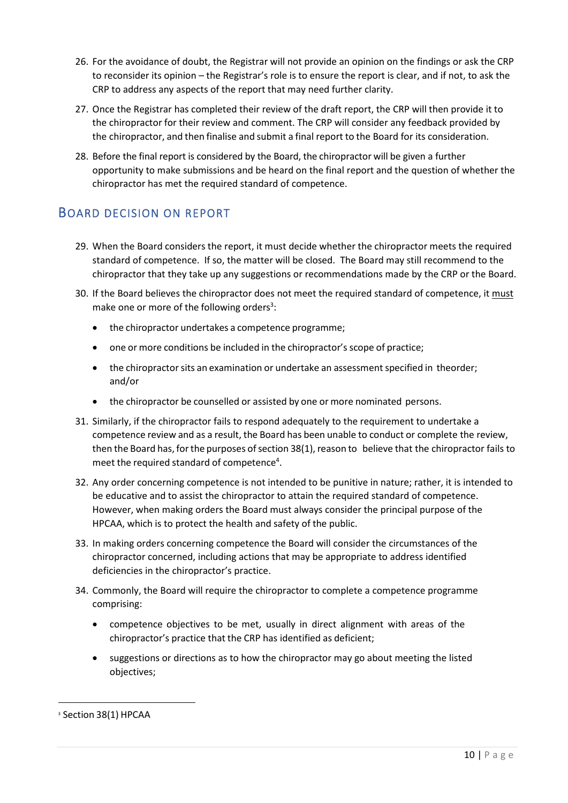- 26. For the avoidance of doubt, the Registrar will not provide an opinion on the findings or ask the CRP to reconsider its opinion – the Registrar's role is to ensure the report is clear, and if not, to ask the CRP to address any aspects of the report that may need further clarity.
- 27. Once the Registrar has completed their review of the draft report, the CRP will then provide it to the chiropractor for their review and comment. The CRP will consider any feedback provided by the chiropractor, and then finalise and submit a final report to the Board for its consideration.
- 28. Before the final report is considered by the Board, the chiropractor will be given a further opportunity to make submissions and be heard on the final report and the question of whether the chiropractor has met the required standard of competence.

# <span id="page-9-0"></span>BOARD DECISION ON REPORT

- 29. When the Board considers the report, it must decide whether the chiropractor meets the required standard of competence. If so, the matter will be closed. The Board may still recommend to the chiropractor that they take up any suggestions or recommendations made by the CRP or the Board.
- 30. If the Board believes the chiropractor does not meet the required standard of competence, it must make one or more of the following orders<sup>3</sup>:
	- the chiropractor undertakes a competence programme;
	- one or more conditions be included in the chiropractor's scope of practice;
	- the chiropractor sits an examination or undertake an assessment specified in theorder; and/or
	- the chiropractor be counselled or assisted by one or more nominated persons.
- 31. Similarly, if the chiropractor fails to respond adequately to the requirement to undertake a competence review and as a result, the Board has been unable to conduct or complete the review, then the Board has, for the purposes of section 38(1), reason to believe that the chiropractor fails to meet the required standard of competence<sup>4</sup>.
- 32. Any order concerning competence is not intended to be punitive in nature; rather, it is intended to be educative and to assist the chiropractor to attain the required standard of competence. However, when making orders the Board must always consider the principal purpose of the HPCAA, which is to protect the health and safety of the public.
- 33. In making orders concerning competence the Board will consider the circumstances of the chiropractor concerned, including actions that may be appropriate to address identified deficiencies in the chiropractor's practice.
- 34. Commonly, the Board will require the chiropractor to complete a competence programme comprising:
	- competence objectives to be met, usually in direct alignment with areas of the chiropractor's practice that the CRP has identified as deficient;
	- suggestions or directions as to how the chiropractor may go about meeting the listed objectives;

<sup>3</sup> Section 38(1) HPCAA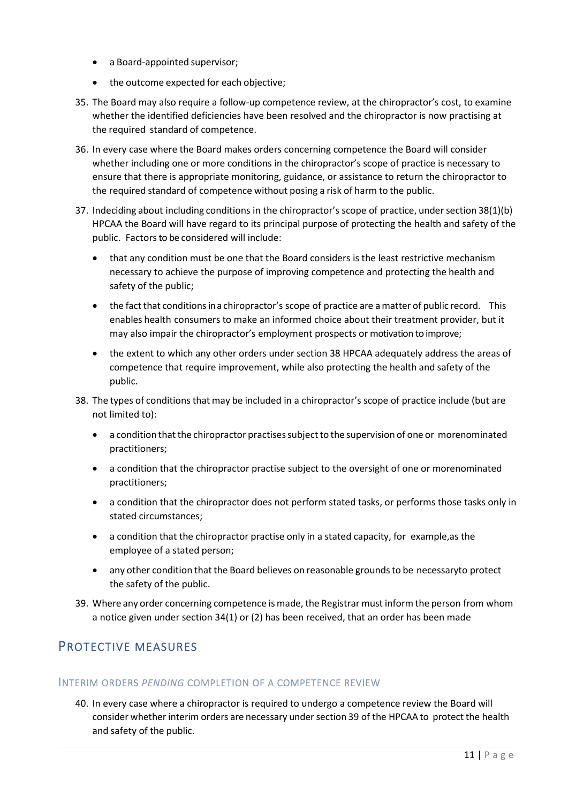- a Board-appointed supervisor;
- the outcome expected for each objective;
- 35. The Board may also require a follow-up competence review, at the chiropractor's cost, to examine whether the identified deficiencies have been resolved and the chiropractor is now practising at the required standard of competence.
- 36. In every case where the Board makes orders concerning competence the Board will consider whether including one or more conditions in the chiropractor's scope of practice is necessary to ensure that there is appropriate monitoring, guidance, or assistance to return the chiropractor to the required standard of competence without posing a risk of harm to the public.
- 37. Indeciding about including conditions in the chiropractor's scope of practice, under section 38(1)(b) HPCAA the Board will have regard to its principal purpose of protecting the health and safety of the public. Factors to be considered will include:
	- that any condition must be one that the Board considers is the least restrictive mechanism necessary to achieve the purpose of improving competence and protecting the health and safety of the public;
	- the fact that conditions in a chiropractor's scope of practice are a matter of public record. This enables health consumers to make an informed choice about their treatment provider, but it may also impair the chiropractor's employment prospects or motivation to improve;
	- the extent to which any other orders under section 38 HPCAA adequately address the areas of competence that require improvement, while also protecting the health and safety of the public.
- 38. The types of conditions that may be included in a chiropractor's scope of practice include (but are not limited to):
	- a condition that the chiropractor practises subject to the supervision of one or more nominated practitioners;
	- a condition that the chiropractor practise subject to the oversight of one or more nominated practitioners;
	- a condition that the chiropractor does not perform stated tasks, or performs those tasks only in stated circumstances;
	- a condition that the chiropractor practise only in a stated capacity, for example, as the employee of a stated person;
	- any other condition that the Board believes on reasonable grounds to be necessary to protect the safety of the public.
- 39. Where any order concerning competence is made, the Registrar must inform the person from whom a notice given under section 34(1) or (2) has been received, that an order has been made

# <span id="page-10-0"></span>PROTECTIVE MEASURES

# <span id="page-10-1"></span>INTERIM ORDERS *PENDING* COMPLETION OF A COMPETENCE REVIEW

40. In every case where a chiropractor is required to undergo a competence review the Board will consider whether interim orders are necessary under section 39 of the HPCAA to protect the health and safety of the public.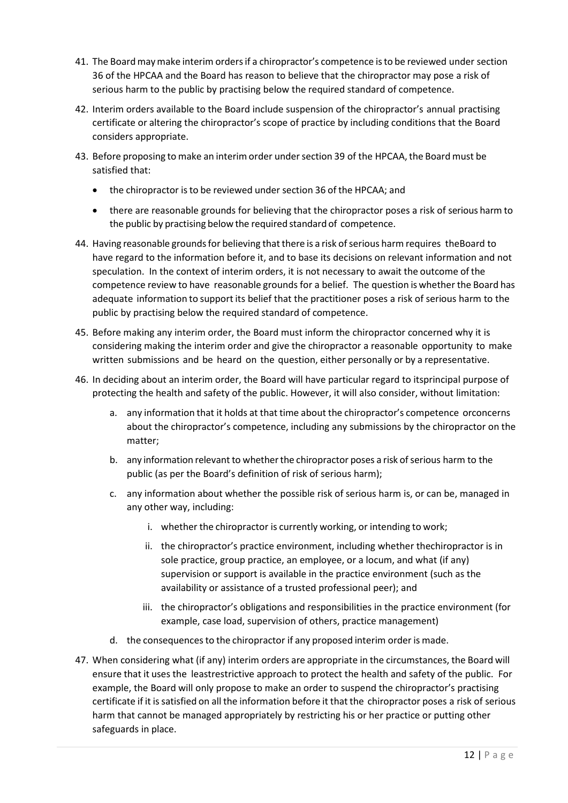- 41. The Board may make interim orders if a chiropractor's competence is to be reviewed under section 36 of the HPCAA and the Board has reason to believe that the chiropractor may pose a risk of serious harm to the public by practising below the required standard of competence.
- 42. Interim orders available to the Board include suspension of the chiropractor's annual practising certificate or altering the chiropractor's scope of practice by including conditions that the Board considers appropriate.
- 43. Before proposing to make an interim order under section 39 of the HPCAA, the Board must be satisfied that:
	- the chiropractor is to be reviewed under section 36 of the HPCAA; and
	- there are reasonable grounds for believing that the chiropractor poses a risk of serious harm to the public by practising below the required standard of competence.
- 44. Having reasonable grounds for believing that there is a risk of serious harm requires the Board to have regard to the information before it, and to base its decisions on relevant information and not speculation. In the context of interim orders, it is not necessary to await the outcome of the competence review to have reasonable grounds for a belief. The question is whether the Board has adequate information to support its belief that the practitioner poses a risk of serious harm to the public by practising below the required standard of competence.
- 45. Before making any interim order, the Board must inform the chiropractor concerned why it is considering making the interim order and give the chiropractor a reasonable opportunity to make written submissions and be heard on the question, either personally or by a representative.
- 46. In deciding about an interim order, the Board will have particular regard to its principal purpose of protecting the health and safety of the public. However, it will also consider, without limitation:
	- a. any information that it holds at that time about the chiropractor's competence or concerns about the chiropractor's competence, including any submissions by the chiropractor on the matter;
	- b. any information relevant to whether the chiropractor poses a risk of serious harm to the public (as per the Board's definition of risk of serious harm);
	- c. any information about whether the possible risk of serious harm is, or can be, managed in any other way, including:
		- i. whether the chiropractor is currently working, or intending to work;
		- ii. the chiropractor's practice environment, including whether the chiropractor is in sole practice, group practice, an employee, or a locum, and what (if any) supervision or support is available in the practice environment (such as the availability or assistance of a trusted professional peer); and
		- iii. the chiropractor's obligations and responsibilities in the practice environment (for example, case load, supervision of others, practice management)
	- d. the consequences to the chiropractor if any proposed interim order is made.
- 47. When considering what (if any) interim orders are appropriate in the circumstances, the Board will ensure that it uses the leastrestrictive approach to protect the health and safety of the public. For example, the Board will only propose to make an order to suspend the chiropractor's practising certificate if it is satisfied on all the information before it that the chiropractor poses a risk of serious harm that cannot be managed appropriately by restricting his or her practice or putting other safeguards in place.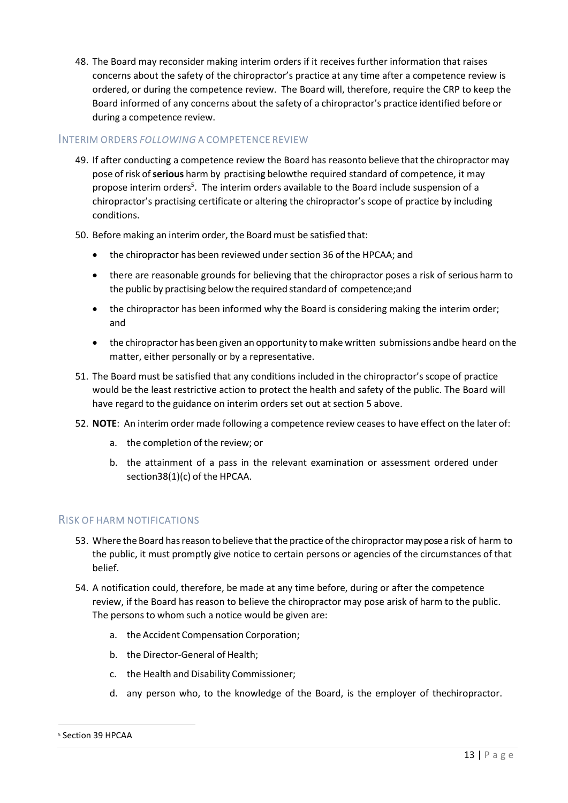48. The Board may reconsider making interim orders if it receives further information that raises concerns about the safety of the chiropractor's practice at any time after a competence review is ordered, or during the competence review. The Board will, therefore, require the CRP to keep the Board informed of any concerns about the safety of a chiropractor's practice identified before or during a competence review.

# <span id="page-12-0"></span>INTERIM ORDERS *FOLLOWING* A COMPETENCE REVIEW

- 49. If after conducting a competence review the Board has reasonto believe that the chiropractor may pose of risk of **serious** harm by practising below the required standard of competence, it may propose interim orders<sup>5</sup>. The interim orders available to the Board include suspension of a chiropractor's practising certificate or altering the chiropractor's scope of practice by including conditions.
- 50. Before making an interim order, the Board must be satisfied that:
	- the chiropractor has been reviewed under section 36 of the HPCAA; and
	- there are reasonable grounds for believing that the chiropractor poses a risk of serious harm to the public by practising below the required standard of competence; and
	- the chiropractor has been informed why the Board is considering making the interim order; and
	- the chiropractor has been given an opportunity to make written submissions and be heard on the matter, either personally or by a representative.
- 51. The Board must be satisfied that any conditions included in the chiropractor's scope of practice would be the least restrictive action to protect the health and safety of the public. The Board will have regard to the guidance on interim orders set out at section [5 a](#page-13-0)bove.
- 52. **NOTE**: An interim order made following a competence review ceases to have effect on the later of:
	- a. the completion of the review; or
	- b. the attainment of a pass in the relevant examination or assessment ordered under section 38(1)(c) of the HPCAA.

# <span id="page-12-1"></span>RISK OF HARM NOTIFICATIONS

- 53. Where the Board has reason to believe that the practice of the chiropractor may pose a risk of harm to the public, it must promptly give notice to certain persons or agencies of the circumstances of that belief.
- 54. A notification could, therefore, be made at any time before, during or after the competence review, if the Board has reason to believe the chiropractor may pose arisk of harm to the public. The persons to whom such a notice would be given are:
	- a. the Accident Compensation Corporation;
	- b. the Director-General of Health;
	- c. the Health and Disability Commissioner;
	- d. any person who, to the knowledge of the Board, is the employer of the chiropractor.

<sup>5</sup> Section 39 HPCAA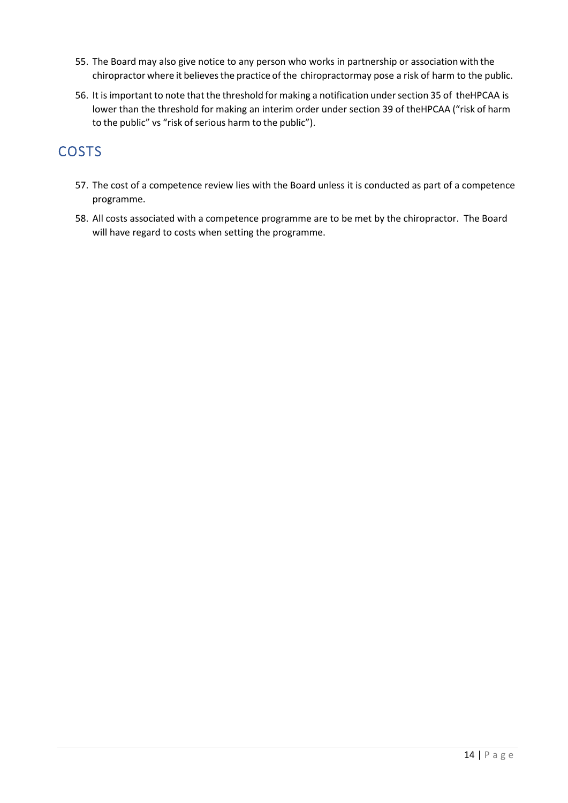- 55. The Board may also give notice to any person who works in partnership or association with the chiropractor where it believes the practice of the chiropractormay pose a risk of harm to the public.
- 56. It is important to note that the threshold for making a notification under section 35 of the HPCAA is lower than the threshold for making an interim order under section 39 of the HPCAA ("risk of harm to the public" vs "risk of serious harm to the public").

# <span id="page-13-0"></span>COSTS

- 57. The cost of a competence review lies with the Board unless it is conducted as part of a competence programme.
- 58. All costs associated with a competence programme are to be met by the chiropractor. The Board will have regard to costs when setting the programme.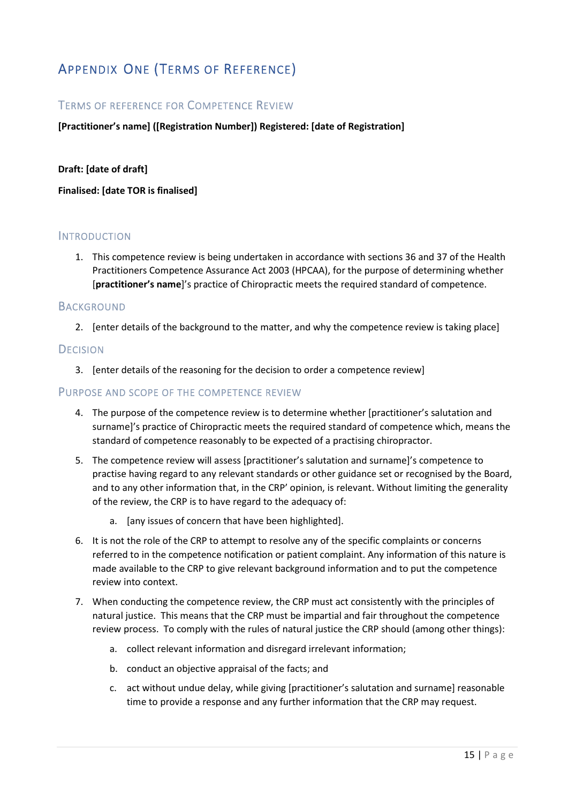# <span id="page-14-0"></span>APPENDIX ONE (TERMS OF REFERENCE)

# <span id="page-14-1"></span>TERMS OF REFERENCE FOR COMPETENCE REVIEW

## **[Practitioner's name] ([Registration Number]) Registered: [date of Registration]**

#### **Draft: [date of draft]**

**Finalised: [date TOR is finalised]** 

# <span id="page-14-2"></span>**INTRODUCTION**

1. This competence review is being undertaken in accordance with sections 36 and 37 of the Health Practitioners Competence Assurance Act 2003 (HPCAA), for the purpose of determining whether [**practitioner's name**]'s practice of Chiropractic meets the required standard of competence.

## <span id="page-14-3"></span>**BACKGROUND**

2. [enter details of the background to the matter, and why the competence review is taking place]

## <span id="page-14-4"></span>**DECISION**

3. [enter details of the reasoning for the decision to order a competence review]

## <span id="page-14-5"></span>PURPOSE AND SCOPE OF THE COMPETENCE REVIEW

- 4. The purpose of the competence review is to determine whether [practitioner's salutation and surname]'s practice of Chiropractic meets the required standard of competence which, means the standard of competence reasonably to be expected of a practising chiropractor.
- 5. The competence review will assess [practitioner's salutation and surname]'s competence to practise having regard to any relevant standards or other guidance set or recognised by the Board, and to any other information that, in the CRP' opinion, is relevant. Without limiting the generality of the review, the CRP is to have regard to the adequacy of:
	- a. [any issues of concern that have been highlighted].
- 6. It is not the role of the CRP to attempt to resolve any of the specific complaints or concerns referred to in the competence notification or patient complaint. Any information of this nature is made available to the CRP to give relevant background information and to put the competence review into context.
- 7. When conducting the competence review, the CRP must act consistently with the principles of natural justice. This means that the CRP must be impartial and fair throughout the competence review process. To comply with the rules of natural justice the CRP should (among other things):
	- a. collect relevant information and disregard irrelevant information;
	- b. conduct an objective appraisal of the facts; and
	- c. act without undue delay, while giving [practitioner's salutation and surname] reasonable time to provide a response and any further information that the CRP may request.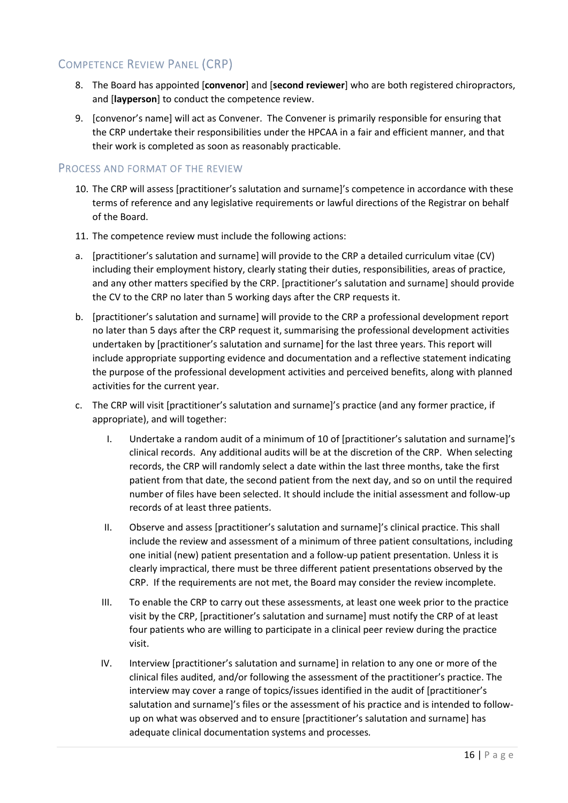# <span id="page-15-0"></span>COMPETENCE REVIEW PANEL (CRP)

- 8. The Board has appointed [**convenor**] and [**second reviewer**] who are both registered chiropractors, and [**layperson**] to conduct the competence review.
- 9. [convenor's name] will act as Convener. The Convener is primarily responsible for ensuring that the CRP undertake their responsibilities under the HPCAA in a fair and efficient manner, and that their work is completed as soon as reasonably practicable.

# <span id="page-15-1"></span>PROCESS AND FORMAT OF THE REVIEW

- 10. The CRP will assess [practitioner's salutation and surname]'s competence in accordance with these terms of reference and any legislative requirements or lawful directions of the Registrar on behalf of the Board.
- 11. The competence review must include the following actions:
- a. [practitioner's salutation and surname] will provide to the CRP a detailed curriculum vitae (CV) including their employment history, clearly stating their duties, responsibilities, areas of practice, and any other matters specified by the CRP. [practitioner's salutation and surname] should provide the CV to the CRP no later than 5 working days after the CRP requests it.
- b. [practitioner's salutation and surname] will provide to the CRP a professional development report no later than 5 days after the CRP request it, summarising the professional development activities undertaken by [practitioner's salutation and surname] for the last three years. This report will include appropriate supporting evidence and documentation and a reflective statement indicating the purpose of the professional development activities and perceived benefits, along with planned activities for the current year.
- c. The CRP will visit [practitioner's salutation and surname]'s practice (and any former practice, if appropriate), and will together:
	- I. Undertake a random audit of a minimum of 10 of [practitioner's salutation and surname]'s clinical records. Any additional audits will be at the discretion of the CRP. When selecting records, the CRP will randomly select a date within the last three months, take the first patient from that date, the second patient from the next day, and so on until the required number of files have been selected. It should include the initial assessment and follow-up records of at least three patients.
	- II. Observe and assess [practitioner's salutation and surname]'s clinical practice. This shall include the review and assessment of a minimum of three patient consultations, including one initial (new) patient presentation and a follow-up patient presentation. Unless it is clearly impractical, there must be three different patient presentations observed by the CRP. If the requirements are not met, the Board may consider the review incomplete.
	- III. To enable the CRP to carry out these assessments, at least one week prior to the practice visit by the CRP, [practitioner's salutation and surname] must notify the CRP of at least four patients who are willing to participate in a clinical peer review during the practice visit.
	- IV. Interview [practitioner's salutation and surname] in relation to any one or more of the clinical files audited, and/or following the assessment of the practitioner's practice. The interview may cover a range of topics/issues identified in the audit of [practitioner's salutation and surname]'s files or the assessment of his practice and is intended to followup on what was observed and to ensure [practitioner's salutation and surname] has adequate clinical documentation systems and processes*.*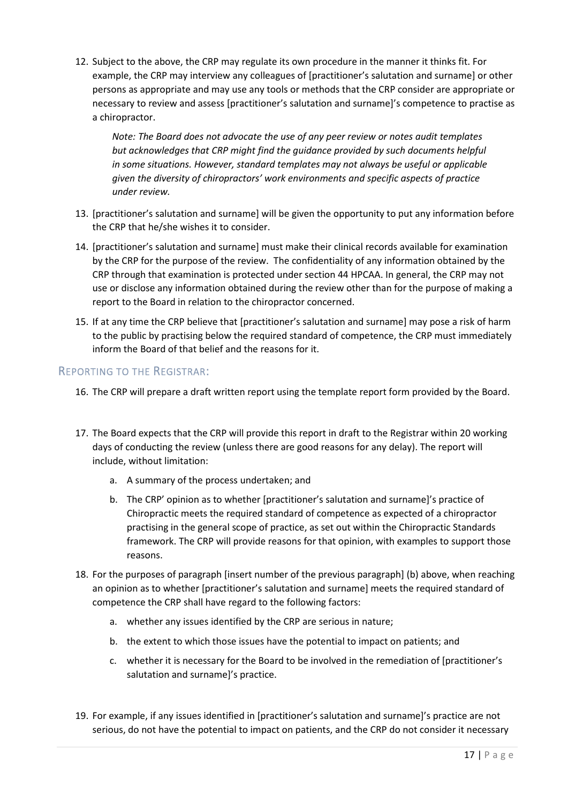12. Subject to the above, the CRP may regulate its own procedure in the manner it thinks fit. For example, the CRP may interview any colleagues of [practitioner's salutation and surname] or other persons as appropriate and may use any tools or methods that the CRP consider are appropriate or necessary to review and assess [practitioner's salutation and surname]'s competence to practise as a chiropractor.

*Note: The Board does not advocate the use of any peer review or notes audit templates but acknowledges that CRP might find the guidance provided by such documents helpful in some situations. However, standard templates may not always be useful or applicable given the diversity of chiropractors' work environments and specific aspects of practice under review.*

- 13. [practitioner's salutation and surname] will be given the opportunity to put any information before the CRP that he/she wishes it to consider.
- 14. [practitioner's salutation and surname] must make their clinical records available for examination by the CRP for the purpose of the review. The confidentiality of any information obtained by the CRP through that examination is protected under section 44 HPCAA. In general, the CRP may not use or disclose any information obtained during the review other than for the purpose of making a report to the Board in relation to the chiropractor concerned.
- 15. If at any time the CRP believe that [practitioner's salutation and surname] may pose a risk of harm to the public by practising below the required standard of competence, the CRP must immediately inform the Board of that belief and the reasons for it.

# <span id="page-16-0"></span>REPORTING TO THE REGISTRAR:

- 16. The CRP will prepare a draft written report using the template report form provided by the Board.
- 17. The Board expects that the CRP will provide this report in draft to the Registrar within 20 working days of conducting the review (unless there are good reasons for any delay). The report will include, without limitation:
	- a. A summary of the process undertaken; and
	- b. The CRP' opinion as to whether [practitioner's salutation and surname]'s practice of Chiropractic meets the required standard of competence as expected of a chiropractor practising in the general scope of practice, as set out within the Chiropractic Standards framework. The CRP will provide reasons for that opinion, with examples to support those reasons.
- 18. For the purposes of paragraph [insert number of the previous paragraph] (b) above, when reaching an opinion as to whether [practitioner's salutation and surname] meets the required standard of competence the CRP shall have regard to the following factors:
	- a. whether any issues identified by the CRP are serious in nature;
	- b. the extent to which those issues have the potential to impact on patients; and
	- c. whether it is necessary for the Board to be involved in the remediation of [practitioner's salutation and surname]'s practice.
- 19. For example, if any issues identified in [practitioner's salutation and surname]'s practice are not serious, do not have the potential to impact on patients, and the CRP do not consider it necessary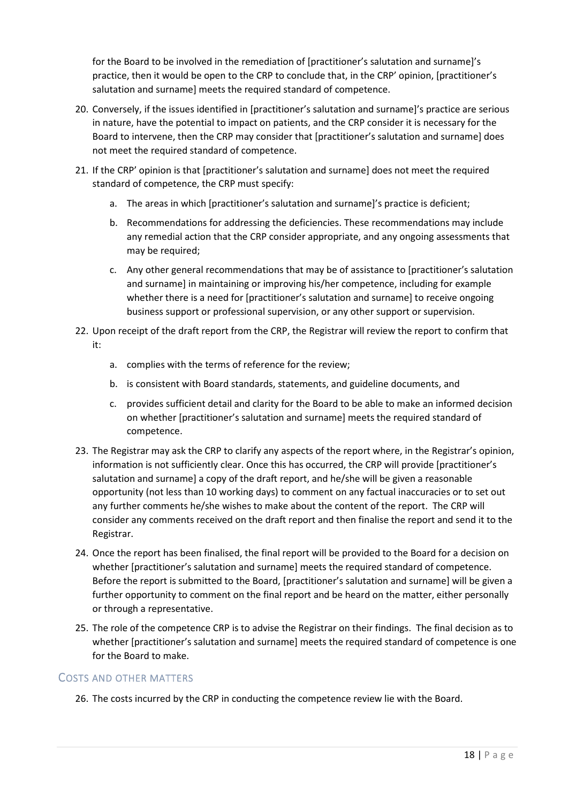for the Board to be involved in the remediation of [practitioner's salutation and surname]'s practice, then it would be open to the CRP to conclude that, in the CRP' opinion, [practitioner's salutation and surname] meets the required standard of competence.

- 20. Conversely, if the issues identified in [practitioner's salutation and surname]'s practice are serious in nature, have the potential to impact on patients, and the CRP consider it is necessary for the Board to intervene, then the CRP may consider that [practitioner's salutation and surname] does not meet the required standard of competence.
- 21. If the CRP' opinion is that [practitioner's salutation and surname] does not meet the required standard of competence, the CRP must specify:
	- a. The areas in which [practitioner's salutation and surname]'s practice is deficient;
	- b. Recommendations for addressing the deficiencies. These recommendations may include any remedial action that the CRP consider appropriate, and any ongoing assessments that may be required;
	- c. Any other general recommendations that may be of assistance to [practitioner's salutation and surname] in maintaining or improving his/her competence, including for example whether there is a need for [practitioner's salutation and surname] to receive ongoing business support or professional supervision, or any other support or supervision.
- 22. Upon receipt of the draft report from the CRP, the Registrar will review the report to confirm that it:
	- a. complies with the terms of reference for the review;
	- b. is consistent with Board standards, statements, and guideline documents, and
	- c. provides sufficient detail and clarity for the Board to be able to make an informed decision on whether [practitioner's salutation and surname] meets the required standard of competence.
- 23. The Registrar may ask the CRP to clarify any aspects of the report where, in the Registrar's opinion, information is not sufficiently clear. Once this has occurred, the CRP will provide [practitioner's salutation and surname] a copy of the draft report, and he/she will be given a reasonable opportunity (not less than 10 working days) to comment on any factual inaccuracies or to set out any further comments he/she wishes to make about the content of the report. The CRP will consider any comments received on the draft report and then finalise the report and send it to the Registrar.
- 24. Once the report has been finalised, the final report will be provided to the Board for a decision on whether [practitioner's salutation and surname] meets the required standard of competence. Before the report is submitted to the Board, [practitioner's salutation and surname] will be given a further opportunity to comment on the final report and be heard on the matter, either personally or through a representative.
- 25. The role of the competence CRP is to advise the Registrar on their findings. The final decision as to whether [practitioner's salutation and surname] meets the required standard of competence is one for the Board to make.

# <span id="page-17-0"></span>COSTS AND OTHER MATTERS

26. The costs incurred by the CRP in conducting the competence review lie with the Board.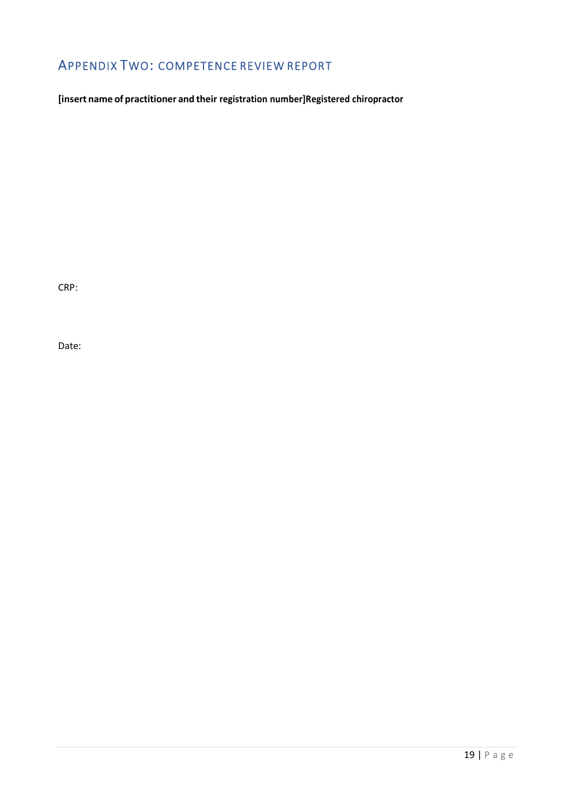# <span id="page-18-0"></span>APPENDIX TWO: COMPETENCE REVIEW REPORT

**[insert name of practitioner and their registration number] Registered chiropractor**

CRP:

Date: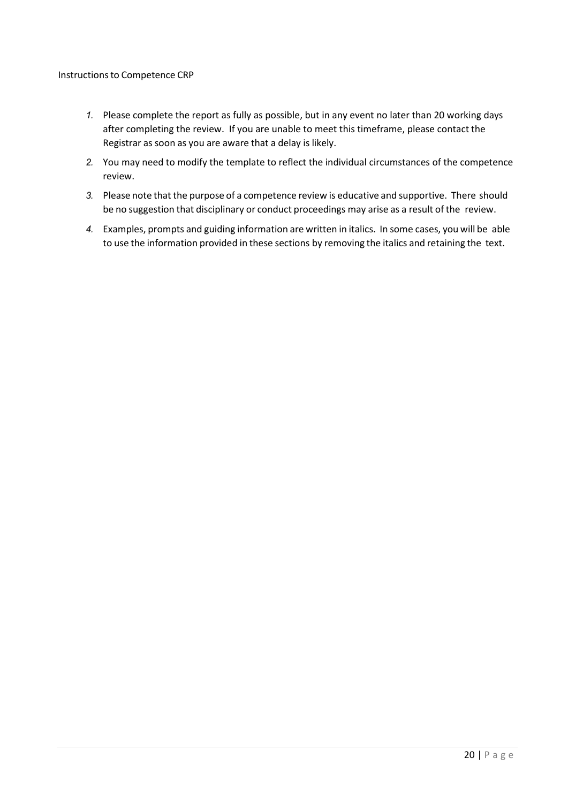#### Instructions to Competence CRP

- *1.* Please complete the report as fully as possible, but in any event no later than 20 working days after completing the review. If you are unable to meet this timeframe, please contact the Registrar as soon as you are aware that a delay is likely.
- *2.* You may need to modify the template to reflect the individual circumstances of the competence review.
- *3.* Please note that the purpose of a competence review is educative and supportive. There should be no suggestion that disciplinary or conduct proceedings may arise as a result of the review.
- *4.* Examples, prompts and guiding information are written in italics. In some cases, you will be able to use the information provided in these sections by removing the italics and retaining the text.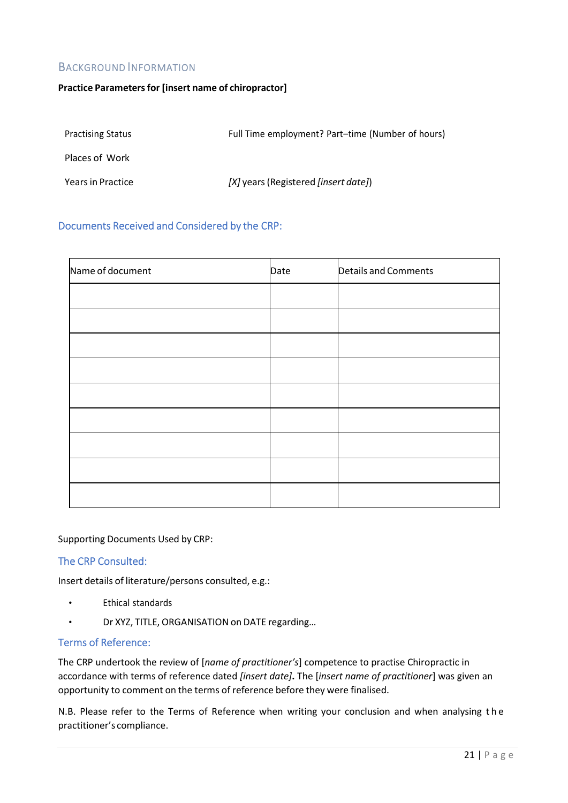# <span id="page-20-0"></span>BACKGROUND INFORMATION

#### **Practice Parameters for [insert name of chiropractor]**

| <b>Practising Status</b> | Full Time employment? Part-time (Number of hours) |
|--------------------------|---------------------------------------------------|
| Places of Work           |                                                   |
| Years in Practice        | $[X]$ years (Registered <i>[insert date]</i> )    |

# <span id="page-20-1"></span>Documents Received and Considered by the CRP:

| Name of document | Date | Details and Comments |
|------------------|------|----------------------|
|                  |      |                      |
|                  |      |                      |
|                  |      |                      |
|                  |      |                      |
|                  |      |                      |
|                  |      |                      |
|                  |      |                      |
|                  |      |                      |
|                  |      |                      |

Supporting Documents Used by CRP:

# <span id="page-20-2"></span>The CRP Consulted:

Insert details of literature/persons consulted, e.g.:

- Ethical standards
- Dr XYZ, TITLE, ORGANISATION on DATE regarding…

# <span id="page-20-3"></span>Terms of Reference:

The CRP undertook the review of [*name of practitioner's*] competence to practise Chiropractic in accordance with terms of reference dated *[insert date]***.** The [*insert name of practitioner*] was given an opportunity to comment on the terms of reference before they were finalised.

N.B. Please refer to the Terms of Reference when writing your conclusion and when analysing t h e practitioner's compliance.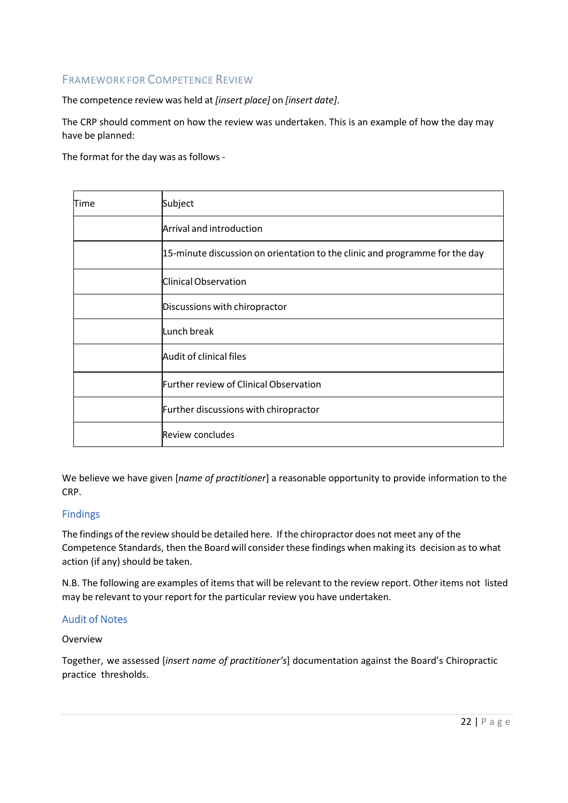# <span id="page-21-0"></span>FRAMEWORK FOR COMPETENCE REVIEW

The competence review was held at *[insert place]* on *[insert date]*.

The CRP should comment on how the review was undertaken. This is an example of how the day may have be planned:

The format for the day was as follows -

| Time | Subject                                                                     |
|------|-----------------------------------------------------------------------------|
|      | Arrival and introduction                                                    |
|      | 15-minute discussion on orientation to the clinic and programme for the day |
|      | Clinical Observation                                                        |
|      | Discussions with chiropractor                                               |
|      | Lunch break                                                                 |
|      | Audit of clinical files                                                     |
|      | Further review of Clinical Observation                                      |
|      | Further discussions with chiropractor                                       |
|      | Review concludes                                                            |

We believe we have given [*name of practitioner*] a reasonable opportunity to provide information to the CRP.

# <span id="page-21-1"></span>Findings

The findings of the review should be detailed here. If the chiropractor does not meet any of the Competence Standards, then the Board will consider these findings when making its decision as to what action (if any) should be taken.

N.B. The following are examples of items that will be relevant to the review report. Other items not listed may be relevant to your report for the particular review you have undertaken.

# <span id="page-21-2"></span>Audit of Notes

# Overview

Together, we assessed [*insert name of practitioner's*] documentation against the Board's Chiropractic practice thresholds.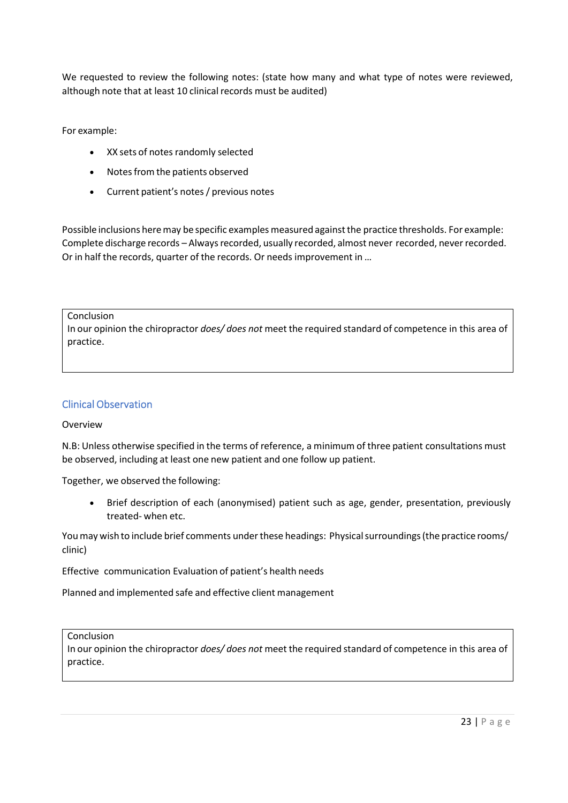We requested to review the following notes: (state how many and what type of notes were reviewed, although note that at least 10 clinical records must be audited)

For example:

- XX sets of notes randomly selected
- Notes from the patients observed
- Current patient's notes / previous notes

Possible inclusions here may be specific examples measured against the practice thresholds. For example: Complete discharge records – Always recorded, usually recorded, almost never recorded, never recorded. Or in half the records, quarter of the records. Or needs improvement in …

Conclusion

In our opinion the chiropractor *does/ does not* meet the required standard of competence in this area of practice.

## <span id="page-22-0"></span>Clinical Observation

#### Overview

N.B: Unless otherwise specified in the terms of reference, a minimum of three patient consultations must be observed, including at least one new patient and one follow up patient.

Together, we observed the following:

 Brief description of each (anonymised) patient such as age, gender, presentation, previously treated- when etc.

You may wish to include brief comments under these headings: Physical surroundings (the practice rooms/ clinic)

Effective communication Evaluation of patient's health needs

Planned and implemented safe and effective client management

Conclusion

In our opinion the chiropractor *does/ does not* meet the required standard of competence in this area of practice.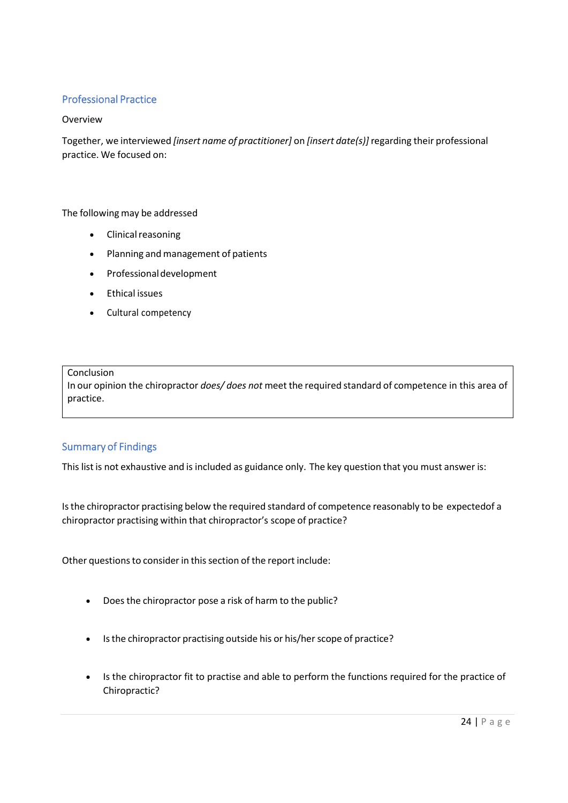# <span id="page-23-0"></span>Professional Practice

## Overview

Together, we interviewed *[insert name of practitioner]* on *[insert date(s)]* regarding their professional practice. We focused on:

## The following may be addressed

- Clinical reasoning
- Planning and management of patients
- Professional development
- Ethical issues
- Cultural competency

#### Conclusion

In our opinion the chiropractor *does/ does not* meet the required standard of competence in this area of practice.

# <span id="page-23-1"></span>Summary of Findings

This list is not exhaustive and is included as guidance only. The key question that you must answer is:

Is the chiropractor practising below the required standard of competence reasonably to be expected of a chiropractor practising within that chiropractor's scope of practice?

Other questions to consider in this section of the report include:

- Does the chiropractor pose a risk of harm to the public?
- Is the chiropractor practising outside his or his/her scope of practice?
- Is the chiropractor fit to practise and able to perform the functions required for the practice of Chiropractic?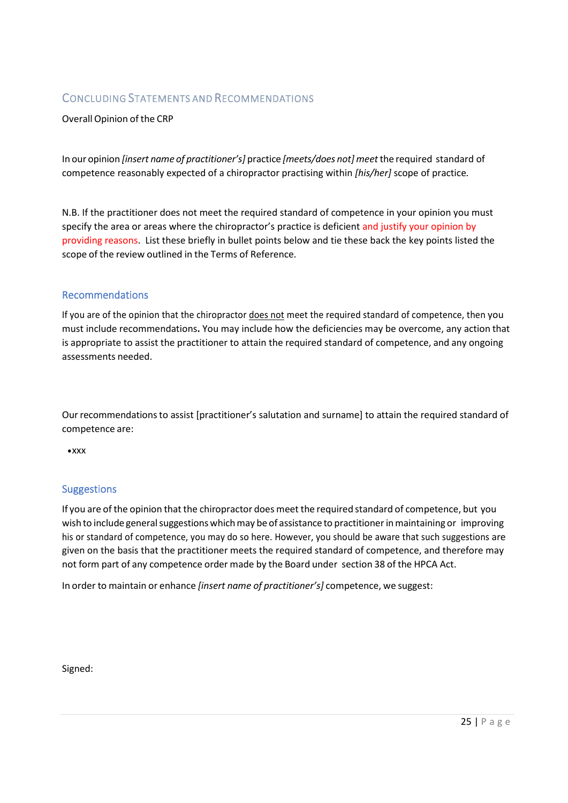# <span id="page-24-0"></span>CONCLUDING STATEMENTS AND RECOMMENDATIONS

## Overall Opinion of the CRP

In our opinion *[insert name of practitioner's]* practice *[meets/does not] meet* the required standard of competence reasonably expected of a chiropractor practising within *[his/her]* scope of practice*.* 

N.B. If the practitioner does not meet the required standard of competence in your opinion you must specify the area or areas where the chiropractor's practice is deficient and justify your opinion by providing reasons. List these briefly in bullet points below and tie these back the key points listed the scope of the review outlined in the Terms of Reference.

## <span id="page-24-1"></span>Recommendations

If you are of the opinion that the chiropractor does not meet the required standard of competence, then you must include recommendations**.** You may include how the deficiencies may be overcome, any action that is appropriate to assist the practitioner to attain the required standard of competence, and any ongoing assessments needed.

Our recommendations to assist [practitioner's salutation and surname] to attain the required standard of competence are:

 $\bullet$  XXX

# <span id="page-24-2"></span>Suggestions

If you are of the opinion that the chiropractor does meet the required standard of competence, but you wish to include general suggestions which may be of assistance to practitioner in maintaining or improving his or standard of competence, you may do so here. However, you should be aware that such suggestions are given on the basis that the practitioner meets the required standard of competence, and therefore may not form part of any competence order made by the Board under section 38 of the HPCA Act.

In order to maintain or enhance *[insert name of practitioner's]* competence, we suggest:

Signed: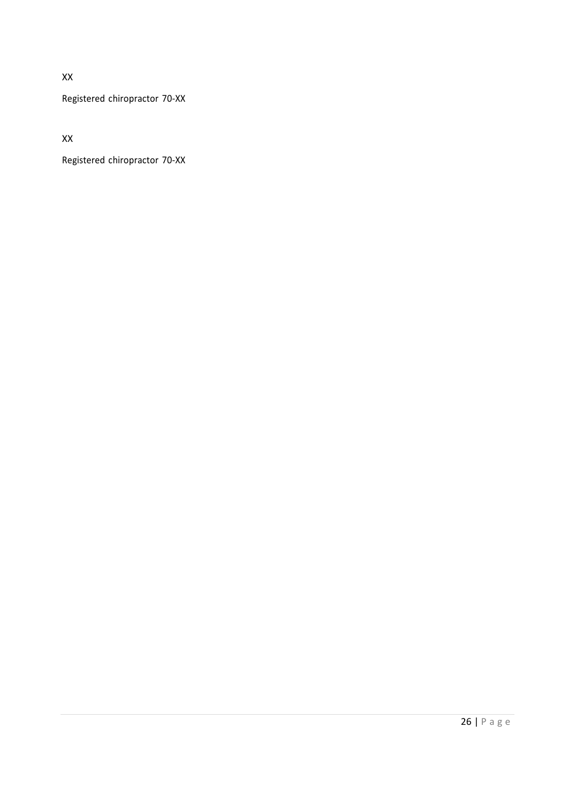XX

Registered chiropractor 70-XX

XX

Registered chiropractor 70-XX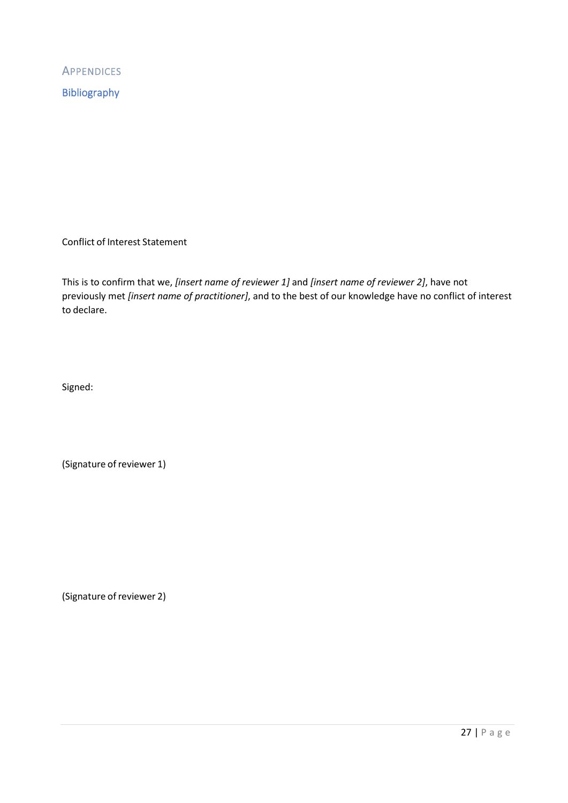<span id="page-26-1"></span><span id="page-26-0"></span>**APPENDICES** Bibliography

Conflict of Interest Statement

This is to confirm that we, *[insert name of reviewer 1]* and *[insert name of reviewer 2]*, have not previously met *[insert name of practitioner]*, and to the best of our knowledge have no conflict of interest to declare.

Signed:

(Signature of reviewer 1)

(Signature of reviewer 2)